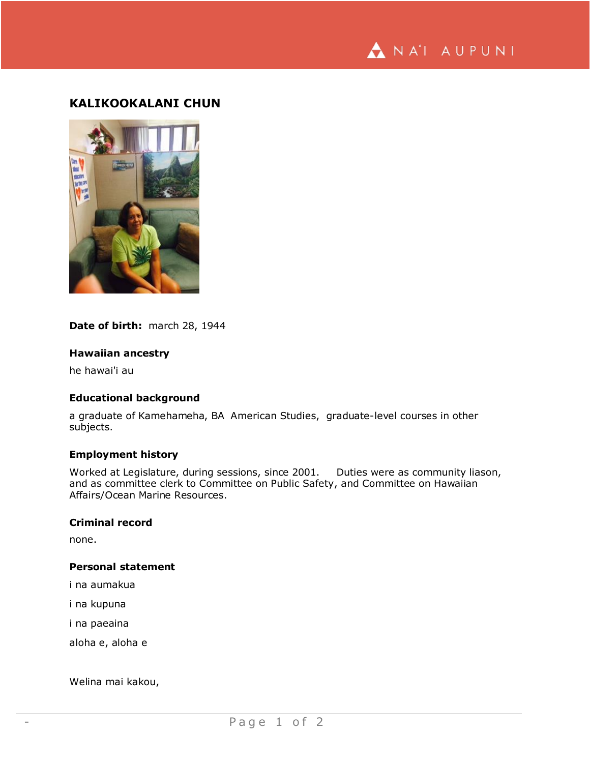

# **KALIKOOKALANI CHUN**



### **Date of birth:** march 28, 1944

# **Hawaiian ancestry**

he hawai'i au

## **Educational background**

a graduate of Kamehameha, BA American Studies, graduate-level courses in other subjects.

#### **Employment history**

Worked at Legislature, during sessions, since 2001. Duties were as community liason, and as committee clerk to Committee on Public Safety, and Committee on Hawaiian Affairs/Ocean Marine Resources.

#### **Criminal record**

none.

#### **Personal statement**

i na aumakua

i na kupuna

i na paeaina

aloha e, aloha e

Welina mai kakou,